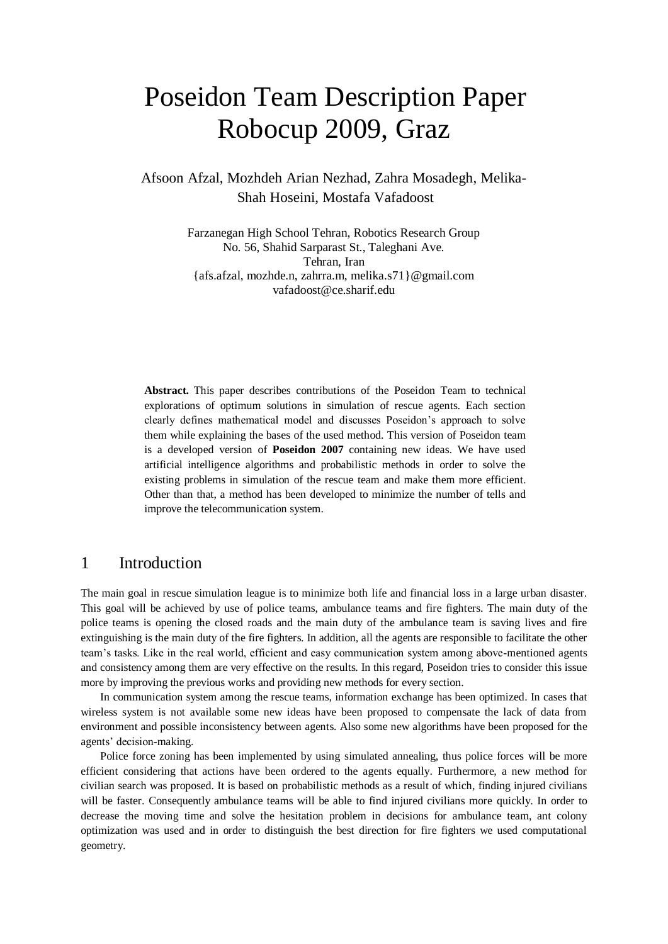# Poseidon Team Description Paper Robocup 2009, Graz

Afsoon Afzal, Mozhdeh Arian Nezhad, Zahra Mosadegh, Melika-Shah Hoseini, Mostafa Vafadoost

> Farzanegan High School Tehran, Robotics Research Group No. 56, Shahid Sarparast St., Taleghani Ave. Tehran, Iran {afs.afzal, mozhde.n, zahrra.m, melika.s71}@gmail.com vafadoost@ce.sharif.edu

**Abstract.** This paper describes contributions of the Poseidon Team to technical explorations of optimum solutions in simulation of rescue agents. Each section clearly defines mathematical model and discusses Poseidon's approach to solve them while explaining the bases of the used method. This version of Poseidon team is a developed version of **Poseidon 2007** containing new ideas. We have used artificial intelligence algorithms and probabilistic methods in order to solve the existing problems in simulation of the rescue team and make them more efficient. Other than that, a method has been developed to minimize the number of tells and improve the telecommunication system.

## 1 Introduction

The main goal in rescue simulation league is to minimize both life and financial loss in a large urban disaster. This goal will be achieved by use of police teams, ambulance teams and fire fighters. The main duty of the police teams is opening the closed roads and the main duty of the ambulance team is saving lives and fire extinguishing is the main duty of the fire fighters. In addition, all the agents are responsible to facilitate the other team's tasks. Like in the real world, efficient and easy communication system among above-mentioned agents and consistency among them are very effective on the results. In this regard, Poseidon tries to consider this issue more by improving the previous works and providing new methods for every section.

 In communication system among the rescue teams, information exchange has been optimized. In cases that wireless system is not available some new ideas have been proposed to compensate the lack of data from environment and possible inconsistency between agents. Also some new algorithms have been proposed for the agents' decision-making.

 Police force zoning has been implemented by using simulated annealing, thus police forces will be more efficient considering that actions have been ordered to the agents equally. Furthermore, a new method for civilian search was proposed. It is based on probabilistic methods as a result of which, finding injured civilians will be faster. Consequently ambulance teams will be able to find injured civilians more quickly. In order to decrease the moving time and solve the hesitation problem in decisions for ambulance team, ant colony optimization was used and in order to distinguish the best direction for fire fighters we used computational geometry.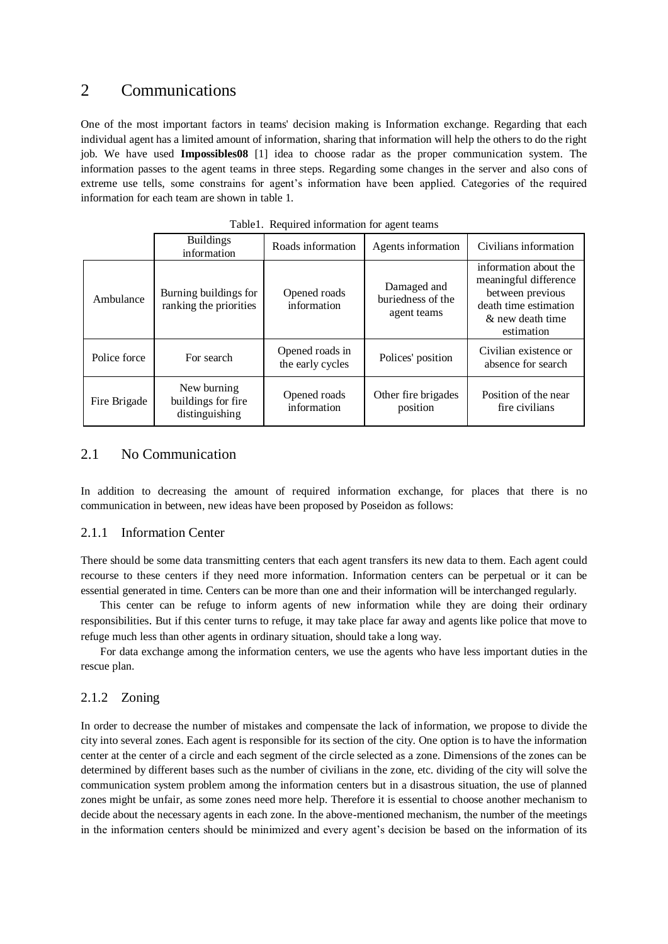## 2 Communications

One of the most important factors in teams' decision making is Information exchange. Regarding that each individual agent has a limited amount of information, sharing that information will help the others to do the right job. We have used **Impossibles08** [1] idea to choose radar as the proper communication system. The information passes to the agent teams in three steps. Regarding some changes in the server and also cons of extreme use tells, some constrains for agent's information have been applied. Categories of the required information for each team are shown in table 1.

|              | <b>Buildings</b><br>information                     | Roads information                   | Agents information                              | Civilians information                                                                                                         |
|--------------|-----------------------------------------------------|-------------------------------------|-------------------------------------------------|-------------------------------------------------------------------------------------------------------------------------------|
| Ambulance    | Burning buildings for<br>ranking the priorities     | Opened roads<br>information         | Damaged and<br>buriedness of the<br>agent teams | information about the<br>meaningful difference<br>between previous<br>death time estimation<br>& new death time<br>estimation |
| Police force | For search                                          | Opened roads in<br>the early cycles | Polices' position                               | Civilian existence or<br>absence for search                                                                                   |
| Fire Brigade | New burning<br>buildings for fire<br>distinguishing | Opened roads<br>information         | Other fire brigades<br>position                 | Position of the near<br>fire civilians                                                                                        |

Table1. Required information for agent teams

## 2.1 No Communication

In addition to decreasing the amount of required information exchange, for places that there is no communication in between, new ideas have been proposed by Poseidon as follows:

#### 2.1.1 Information Center

There should be some data transmitting centers that each agent transfers its new data to them. Each agent could recourse to these centers if they need more information. Information centers can be perpetual or it can be essential generated in time. Centers can be more than one and their information will be interchanged regularly.

 This center can be refuge to inform agents of new information while they are doing their ordinary responsibilities. But if this center turns to refuge, it may take place far away and agents like police that move to refuge much less than other agents in ordinary situation, should take a long way.

 For data exchange among the information centers, we use the agents who have less important duties in the rescue plan.

#### 2.1.2 Zoning

In order to decrease the number of mistakes and compensate the lack of information, we propose to divide the city into several zones. Each agent is responsible for its section of the city. One option is to have the information center at the center of a circle and each segment of the circle selected as a zone. Dimensions of the zones can be determined by different bases such as the number of civilians in the zone, etc. dividing of the city will solve the communication system problem among the information centers but in a disastrous situation, the use of planned zones might be unfair, as some zones need more help. Therefore it is essential to choose another mechanism to decide about the necessary agents in each zone. In the above-mentioned mechanism, the number of the meetings in the information centers should be minimized and every agent's decision be based on the information of its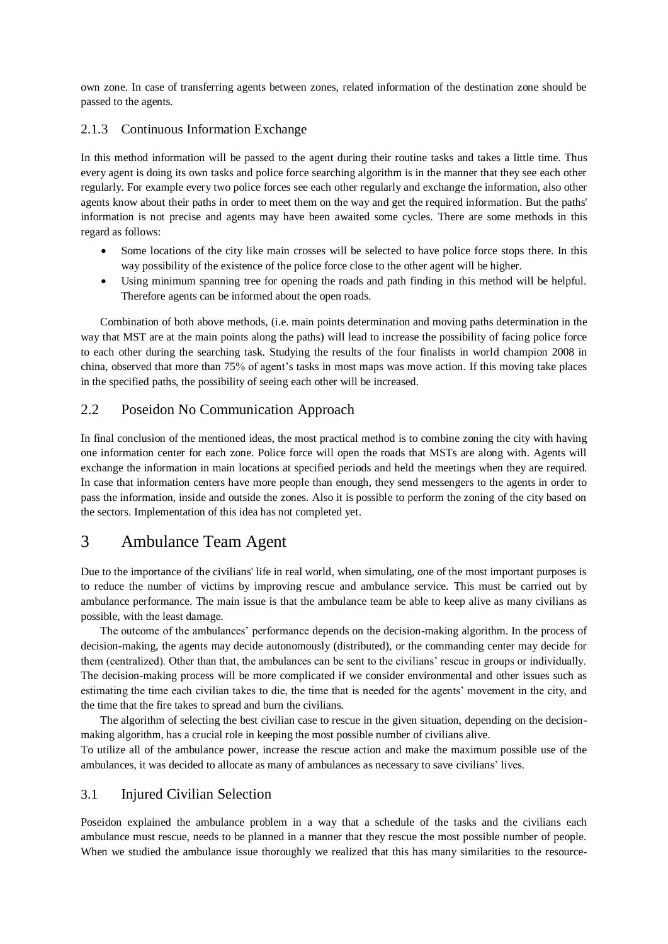own zone. In case of transferring agents between zones, related information of the destination zone should be passed to the agents.

## 2.1.3 Continuous Information Exchange

In this method information will be passed to the agent during their routine tasks and takes a little time. Thus every agent is doing its own tasks and police force searching algorithm is in the manner that they see each other regularly. For example every two police forces see each other regularly and exchange the information, also other agents know about their paths in order to meet them on the way and get the required information. But the paths' information is not precise and agents may have been awaited some cycles. There are some methods in this regard as follows:

- Some locations of the city like main crosses will be selected to have police force stops there. In this way possibility of the existence of the police force close to the other agent will be higher.
- Using minimum spanning tree for opening the roads and path finding in this method will be helpful. Therefore agents can be informed about the open roads.

 Combination of both above methods, (i.e. main points determination and moving paths determination in the way that MST are at the main points along the paths) will lead to increase the possibility of facing police force to each other during the searching task. Studying the results of the four finalists in world champion 2008 in china, observed that more than 75% of agent's tasks in most maps was move action. If this moving take places in the specified paths, the possibility of seeing each other will be increased.

#### 2.2 Poseidon No Communication Approach

In final conclusion of the mentioned ideas, the most practical method is to combine zoning the city with having one information center for each zone. Police force will open the roads that MSTs are along with. Agents will exchange the information in main locations at specified periods and held the meetings when they are required. In case that information centers have more people than enough, they send messengers to the agents in order to pass the information, inside and outside the zones. Also it is possible to perform the zoning of the city based on the sectors. Implementation of this idea has not completed yet.

# 3 Ambulance Team Agent

Due to the importance of the civilians' life in real world, when simulating, one of the most important purposes is to reduce the number of victims by improving rescue and ambulance service. This must be carried out by ambulance performance. The main issue is that the ambulance team be able to keep alive as many civilians as possible, with the least damage.

 The outcome of the ambulances' performance depends on the decision-making algorithm. In the process of decision-making, the agents may decide autonomously (distributed), or the commanding center may decide for them (centralized). Other than that, the ambulances can be sent to the civilians' rescue in groups or individually. The decision-making process will be more complicated if we consider environmental and other issues such as estimating the time each civilian takes to die, the time that is needed for the agents' movement in the city, and the time that the fire takes to spread and burn the civilians.

 The algorithm of selecting the best civilian case to rescue in the given situation, depending on the decisionmaking algorithm, has a crucial role in keeping the most possible number of civilians alive.

To utilize all of the ambulance power, increase the rescue action and make the maximum possible use of the ambulances, it was decided to allocate as many of ambulances as necessary to save civilians' lives.

#### 3.1 Injured Civilian Selection

Poseidon explained the ambulance problem in a way that a schedule of the tasks and the civilians each ambulance must rescue, needs to be planned in a manner that they rescue the most possible number of people. When we studied the ambulance issue thoroughly we realized that this has many similarities to the resource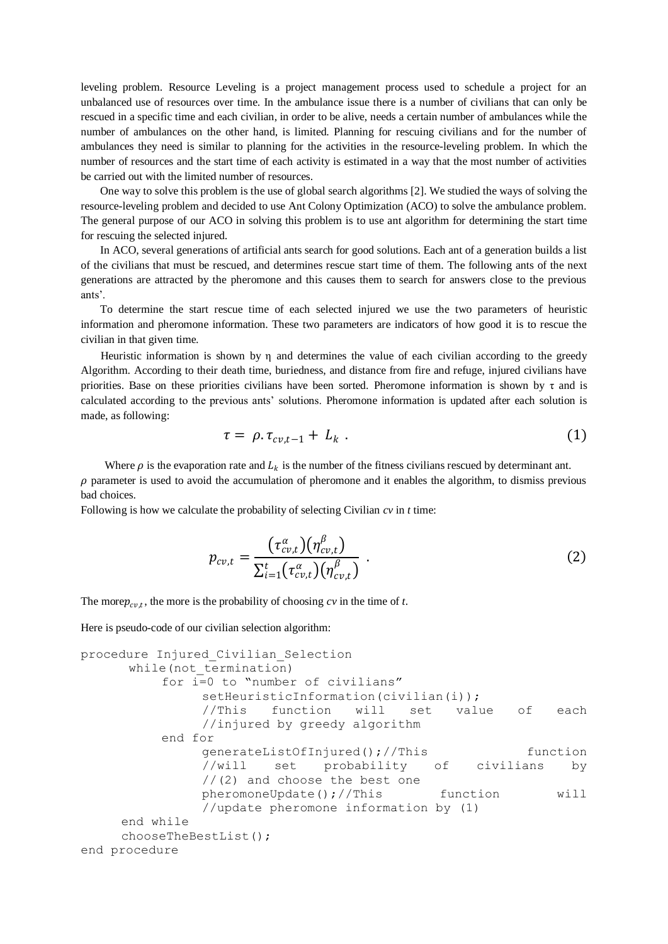leveling problem. Resource Leveling is a project management process used to schedule a project for an unbalanced use of resources over time. In the ambulance issue there is a number of civilians that can only be rescued in a specific time and each civilian, in order to be alive, needs a certain number of ambulances while the number of ambulances on the other hand, is limited. Planning for rescuing civilians and for the number of ambulances they need is similar to planning for the activities in the resource-leveling problem. In which the number of resources and the start time of each activity is estimated in a way that the most number of activities be carried out with the limited number of resources.

 One way to solve this problem is the use of global search algorithms [2]. We studied the ways of solving the resource-leveling problem and decided to use Ant Colony Optimization (ACO) to solve the ambulance problem. The general purpose of our ACO in solving this problem is to use ant algorithm for determining the start time for rescuing the selected injured.

 In ACO, several generations of artificial ants search for good solutions. Each ant of a generation builds a list of the civilians that must be rescued, and determines rescue start time of them. The following ants of the next generations are attracted by the pheromone and this causes them to search for answers close to the previous ants'.

 To determine the start rescue time of each selected injured we use the two parameters of heuristic information and pheromone information. These two parameters are indicators of how good it is to rescue the civilian in that given time.

Heuristic information is shown by  $\eta$  and determines the value of each civilian according to the greedy Algorithm. According to their death time, buriedness, and distance from fire and refuge, injured civilians have priorities. Base on these priorities civilians have been sorted. Pheromone information is shown by  $\tau$  and is calculated according to the previous ants' solutions. Pheromone information is updated after each solution is made, as following:

$$
\tau = \rho \cdot \tau_{cv,t-1} + L_k \tag{1}
$$

Where  $\rho$  is the evaporation rate and  $L_k$  is the number of the fitness civilians rescued by determinant ant.

 $\rho$  parameter is used to avoid the accumulation of pheromone and it enables the algorithm, to dismiss previous bad choices.

Following is how we calculate the probability of selecting Civilian *cv* in *t* time:

$$
p_{cv,t} = \frac{(\tau_{cv,t}^{\alpha})(\eta_{cv,t}^{\beta})}{\sum_{i=1}^{t} (\tau_{cv,t}^{\alpha})(\eta_{cv,t}^{\beta})}.
$$
 (2)

The more  $p_{cv,t}$ , the more is the probability of choosing  $cv$  in the time of *t*.

Here is pseudo-code of our civilian selection algorithm:

```
procedure Injured_Civilian_Selection
     while(not termination)
         for i=0 to "number of civilians"
              setHeuristicInformation(civilian(i));
               //This function will set value of each 
               //injured by greedy algorithm
         end for
              generateListOfInjured();//This function 
              //will set probability of civilians by 
              //(2) and choose the best one
              pheromoneUpdate();//This function will
               //update pheromone information by (1)
    end while
    chooseTheBestList();
end procedure
```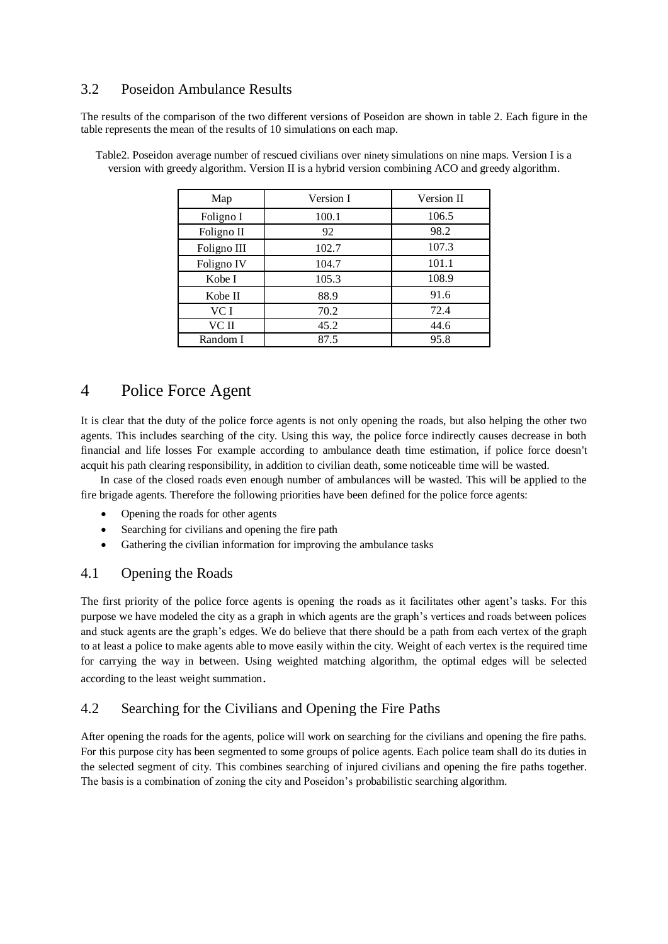## 3.2 Poseidon Ambulance Results

The results of the comparison of the two different versions of Poseidon are shown in table 2. Each figure in the table represents the mean of the results of 10 simulations on each map.

| Map         | Version I | Version II |
|-------------|-----------|------------|
| Foligno I   | 100.1     | 106.5      |
| Foligno II  | 92        | 98.2       |
| Foligno III | 102.7     | 107.3      |
| Foligno IV  | 104.7     | 101.1      |
| Kobe I      | 105.3     | 108.9      |
| Kobe II     | 88.9      | 91.6       |
| VC I        | 70.2      | 72.4       |
| VC II       | 45.2      | 44.6       |
| Random I    | 87.5      | 95.8       |

Table2. Poseidon average number of rescued civilians over ninety simulations on nine maps. Version I is a version with greedy algorithm. Version II is a hybrid version combining ACO and greedy algorithm.

# 4 Police Force Agent

It is clear that the duty of the police force agents is not only opening the roads, but also helping the other two agents. This includes searching of the city. Using this way, the police force indirectly causes decrease in both financial and life losses For example according to ambulance death time estimation, if police force doesn't acquit his path clearing responsibility, in addition to civilian death, some noticeable time will be wasted.

 In case of the closed roads even enough number of ambulances will be wasted. This will be applied to the fire brigade agents. Therefore the following priorities have been defined for the police force agents:

- Opening the roads for other agents
- Searching for civilians and opening the fire path
- Gathering the civilian information for improving the ambulance tasks

## 4.1 Opening the Roads

The first priority of the police force agents is opening the roads as it facilitates other agent's tasks. For this purpose we have modeled the city as a graph in which agents are the graph's vertices and roads between polices and stuck agents are the graph's edges. We do believe that there should be a path from each vertex of the graph to at least a police to make agents able to move easily within the city. Weight of each vertex is the required time for carrying the way in between. Using weighted matching algorithm, the optimal edges will be selected according to the least weight summation.

## 4.2 Searching for the Civilians and Opening the Fire Paths

After opening the roads for the agents, police will work on searching for the civilians and opening the fire paths. For this purpose city has been segmented to some groups of police agents. Each police team shall do its duties in the selected segment of city. This combines searching of injured civilians and opening the fire paths together. The basis is a combination of zoning the city and Poseidon's probabilistic searching algorithm.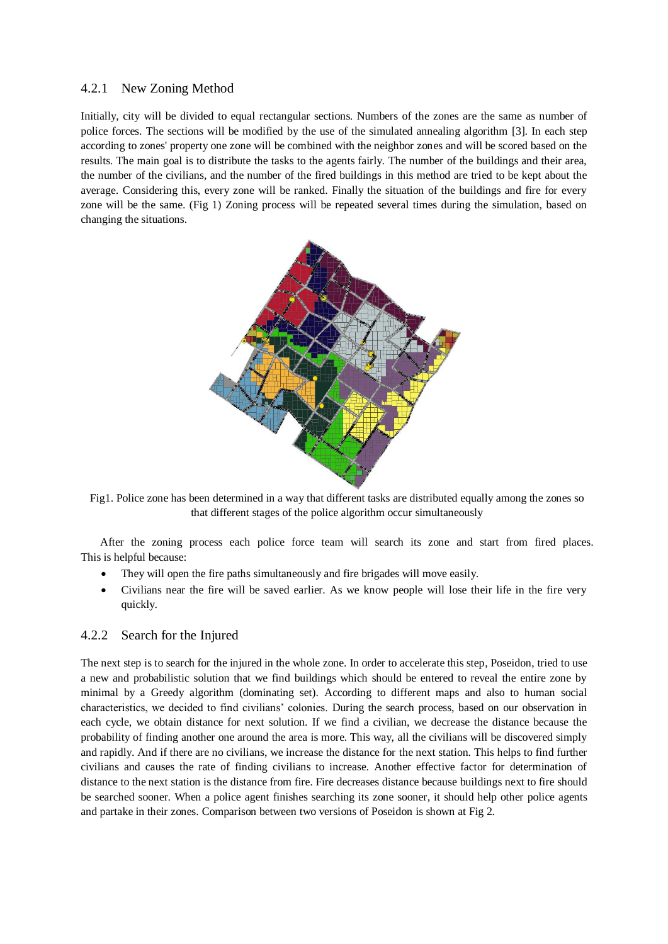#### 4.2.1 New Zoning Method

Initially, city will be divided to equal rectangular sections. Numbers of the zones are the same as number of police forces. The sections will be modified by the use of the simulated annealing algorithm [3]. In each step according to zones' property one zone will be combined with the neighbor zones and will be scored based on the results. The main goal is to distribute the tasks to the agents fairly. The number of the buildings and their area, the number of the civilians, and the number of the fired buildings in this method are tried to be kept about the average. Considering this, every zone will be ranked. Finally the situation of the buildings and fire for every zone will be the same. (Fig 1) Zoning process will be repeated several times during the simulation, based on changing the situations.



Fig1. Police zone has been determined in a way that different tasks are distributed equally among the zones so that different stages of the police algorithm occur simultaneously

 After the zoning process each police force team will search its zone and start from fired places. This is helpful because:

- They will open the fire paths simultaneously and fire brigades will move easily.
- Civilians near the fire will be saved earlier. As we know people will lose their life in the fire very quickly.

## 4.2.2 Search for the Injured

The next step is to search for the injured in the whole zone. In order to accelerate this step, Poseidon, tried to use a new and probabilistic solution that we find buildings which should be entered to reveal the entire zone by minimal by a Greedy algorithm (dominating set). According to different maps and also to human social characteristics, we decided to find civilians' colonies. During the search process, based on our observation in each cycle, we obtain distance for next solution. If we find a civilian, we decrease the distance because the probability of finding another one around the area is more. This way, all the civilians will be discovered simply and rapidly. And if there are no civilians, we increase the distance for the next station. This helps to find further civilians and causes the rate of finding civilians to increase. Another effective factor for determination of distance to the next station is the distance from fire. Fire decreases distance because buildings next to fire should be searched sooner. When a police agent finishes searching its zone sooner, it should help other police agents and partake in their zones. Comparison between two versions of Poseidon is shown at Fig 2.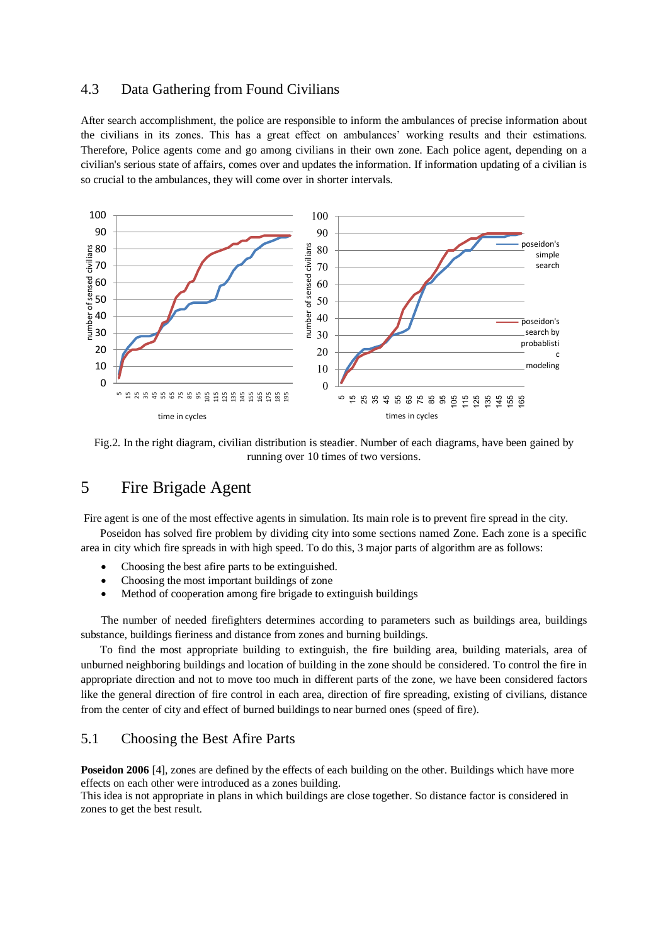## 4.3 Data Gathering from Found Civilians

After search accomplishment, the police are responsible to inform the ambulances of precise information about the civilians in its zones. This has a great effect on ambulances' working results and their estimations. Therefore, Police agents come and go among civilians in their own zone. Each police agent, depending on a civilian's serious state of affairs, comes over and updates the information. If information updating of a civilian is so crucial to the ambulances, they will come over in shorter intervals.



Fig.2. In the right diagram, civilian distribution is steadier. Number of each diagrams, have been gained by running over 10 times of two versions.

# 5 Fire Brigade Agent

Fire agent is one of the most effective agents in simulation. Its main role is to prevent fire spread in the city.

 Poseidon has solved fire problem by dividing city into some sections named Zone. Each zone is a specific area in city which fire spreads in with high speed. To do this, 3 major parts of algorithm are as follows:

- Choosing the best afire parts to be extinguished.
- Choosing the most important buildings of zone
- Method of cooperation among fire brigade to extinguish buildings

The number of needed firefighters determines according to parameters such as buildings area, buildings substance, buildings fieriness and distance from zones and burning buildings.

 To find the most appropriate building to extinguish, the fire building area, building materials, area of unburned neighboring buildings and location of building in the zone should be considered. To control the fire in appropriate direction and not to move too much in different parts of the zone, we have been considered factors like the general direction of fire control in each area, direction of fire spreading, existing of civilians, distance from the center of city and effect of burned buildings to near burned ones (speed of fire).

#### 5.1 Choosing the Best Afire Parts

**Poseidon 2006** [4], zones are defined by the effects of each building on the other. Buildings which have more effects on each other were introduced as a zones building.

This idea is not appropriate in plans in which buildings are close together. So distance factor is considered in zones to get the best result.